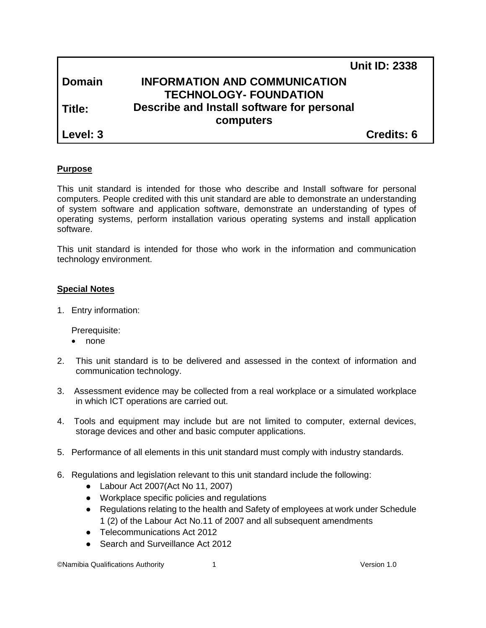|               | <b>Unit ID: 2338</b>                       |  |
|---------------|--------------------------------------------|--|
| <b>Domain</b> | <b>INFORMATION AND COMMUNICATION</b>       |  |
|               | <b>TECHNOLOGY- FOUNDATION</b>              |  |
| l Title:      | Describe and Install software for personal |  |
|               | computers                                  |  |
| Level: 3      | <b>Credits: 6</b>                          |  |

#### **Purpose**

This unit standard is intended for those who describe and Install software for personal computers. People credited with this unit standard are able to demonstrate an understanding of system software and application software, demonstrate an understanding of types of operating systems, perform installation various operating systems and install application software.

This unit standard is intended for those who work in the information and communication technology environment.

#### **Special Notes**

1. Entry information:

Prerequisite:

- none
- 2. This unit standard is to be delivered and assessed in the context of information and communication technology.
- 3. Assessment evidence may be collected from a real workplace or a simulated workplace in which ICT operations are carried out.
- 4. Tools and equipment may include but are not limited to computer, external devices, storage devices and other and basic computer applications.
- 5. Performance of all elements in this unit standard must comply with industry standards.
- 6. Regulations and legislation relevant to this unit standard include the following:
	- Labour Act 2007(Act No 11, 2007)
	- Workplace specific policies and regulations
	- Regulations relating to the health and Safety of employees at work under Schedule 1 (2) of the Labour Act No.11 of 2007 and all subsequent amendments
	- Telecommunications Act 2012
	- Search and Surveillance Act 2012

©Namibia Qualifications Authority 1 Version 1.0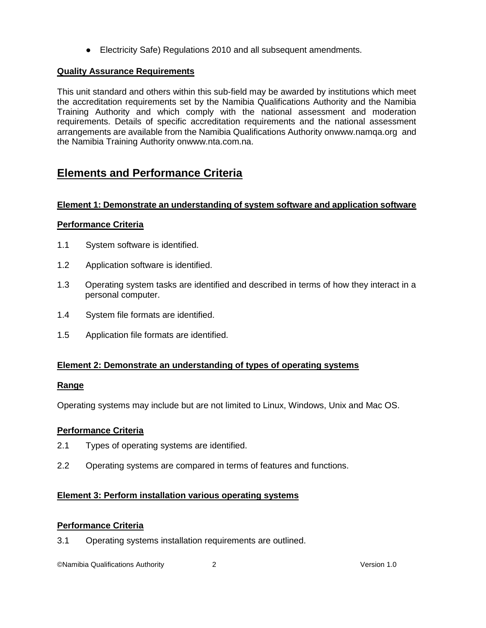● Electricity Safe) Regulations 2010 and all subsequent amendments.

## **Quality Assurance Requirements**

This unit standard and others within this sub-field may be awarded by institutions which meet the accreditation requirements set by the Namibia Qualifications Authority and the Namibia Training Authority and which comply with the national assessment and moderation requirements. Details of specific accreditation requirements and the national assessment arrangements are available from the Namibia Qualifications Authority o[nwww.namqa.org](http://www.namqa.org/) and the Namibia Training Authority o[nwww.nta.com.na.](http://www.nta.com.na/)

## **Elements and Performance Criteria**

#### **Element 1: Demonstrate an understanding of system software and application software**

## **Performance Criteria**

- 1.1 System software is identified.
- 1.2 Application software is identified.
- 1.3 Operating system tasks are identified and described in terms of how they interact in a personal computer.
- 1.4 System file formats are identified.
- 1.5 Application file formats are identified.

#### **Element 2: Demonstrate an understanding of types of operating systems**

#### **Range**

Operating systems may include but are not limited to Linux, Windows, Unix and Mac OS.

## **Performance Criteria**

- 2.1 Types of operating systems are identified.
- 2.2 Operating systems are compared in terms of features and functions.

## **Element 3: Perform installation various operating systems**

#### **Performance Criteria**

3.1 Operating systems installation requirements are outlined.